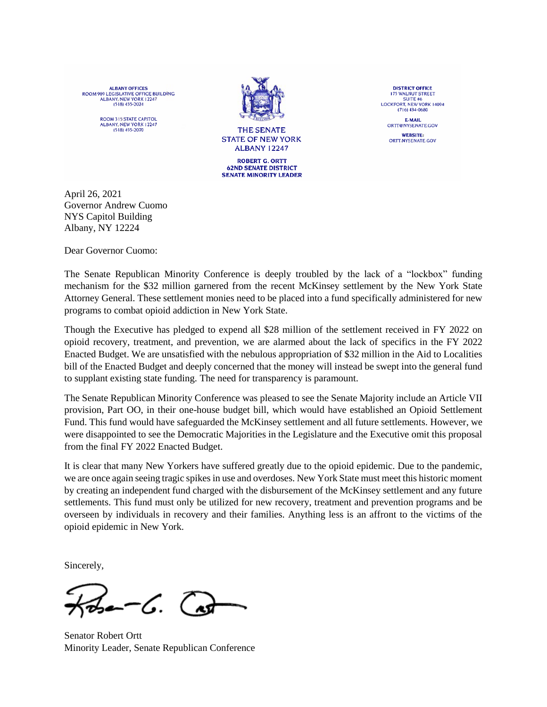ALBANY OFFICES<br>ROOM 909 LEGISLATIVE OFFICE BUILDING ALBANY, NEW YORK 12247

> ROOM 315 STATE CAPITOL ALBANY, NEW YORK 12247  $(518) 455 - 2070$



**THE SENATE STATE OF NEW YORK ALBANY 12247** 

**ROBERT G. ORTT 62ND SENATE DISTRICT SENATE MINORITY LEADER** 

**DISTRICT OFFICE 175 WALNUT STREET** SUITE #6<br>LOCKPORT, NEW YORK 14094 (716) 434-0680 **E-MAIL** ORTT@NYSENATE.GOV **WEBSITE:** ORTT NYSENATE GOV

April 26, 2021 Governor Andrew Cuomo NYS Capitol Building Albany, NY 12224

Dear Governor Cuomo:

The Senate Republican Minority Conference is deeply troubled by the lack of a "lockbox" funding mechanism for the \$32 million garnered from the recent McKinsey settlement by the New York State Attorney General. These settlement monies need to be placed into a fund specifically administered for new programs to combat opioid addiction in New York State.

Though the Executive has pledged to expend all \$28 million of the settlement received in FY 2022 on opioid recovery, treatment, and prevention, we are alarmed about the lack of specifics in the FY 2022 Enacted Budget. We are unsatisfied with the nebulous appropriation of \$32 million in the Aid to Localities bill of the Enacted Budget and deeply concerned that the money will instead be swept into the general fund to supplant existing state funding. The need for transparency is paramount.

The Senate Republican Minority Conference was pleased to see the Senate Majority include an Article VII provision, Part OO, in their one-house budget bill, which would have established an Opioid Settlement Fund. This fund would have safeguarded the McKinsey settlement and all future settlements. However, we were disappointed to see the Democratic Majorities in the Legislature and the Executive omit this proposal from the final FY 2022 Enacted Budget.

It is clear that many New Yorkers have suffered greatly due to the opioid epidemic. Due to the pandemic, we are once again seeing tragic spikes in use and overdoses. New York State must meet this historic moment by creating an independent fund charged with the disbursement of the McKinsey settlement and any future settlements. This fund must only be utilized for new recovery, treatment and prevention programs and be overseen by individuals in recovery and their families. Anything less is an affront to the victims of the opioid epidemic in New York.

Sincerely,

--C. (as

Senator Robert Ortt Minority Leader, Senate Republican Conference